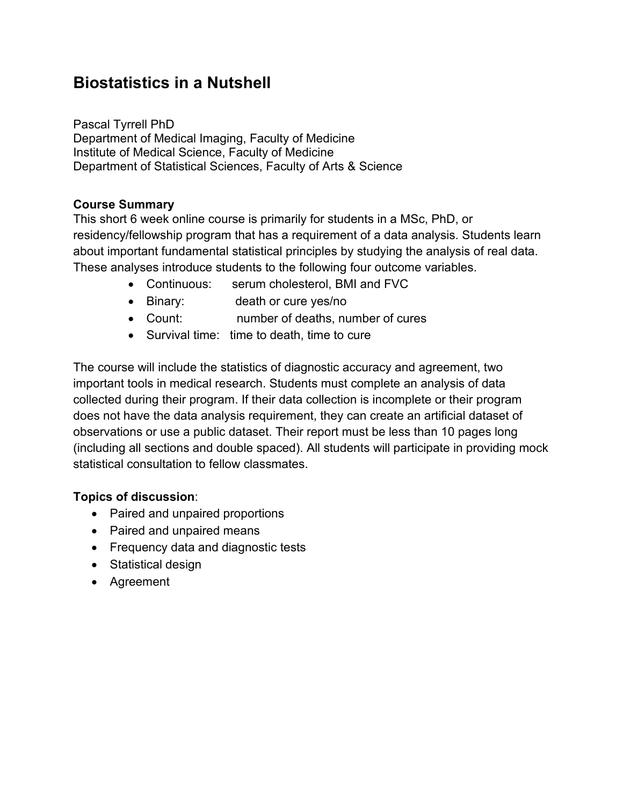## **Biostatistics in a Nutshell**

Pascal Tyrrell PhD Department of Medical Imaging, Faculty of Medicine Institute of Medical Science, Faculty of Medicine Department of Statistical Sciences, Faculty of Arts & Science

## **Course Summary**

This short 6 week online course is primarily for students in a MSc, PhD, or residency/fellowship program that has a requirement of a data analysis. Students learn about important fundamental statistical principles by studying the analysis of real data. These analyses introduce students to the following four outcome variables.

- Continuous: serum cholesterol, BMI and FVC
- Binary: death or cure yes/no
- Count: number of deaths, number of cures
- Survival time: time to death, time to cure

The course will include the statistics of diagnostic accuracy and agreement, two important tools in medical research. Students must complete an analysis of data collected during their program. If their data collection is incomplete or their program does not have the data analysis requirement, they can create an artificial dataset of observations or use a public dataset. Their report must be less than 10 pages long (including all sections and double spaced). All students will participate in providing mock statistical consultation to fellow classmates.

## **Topics of discussion**:

- Paired and unpaired proportions
- Paired and unpaired means
- Frequency data and diagnostic tests
- Statistical design
- Agreement